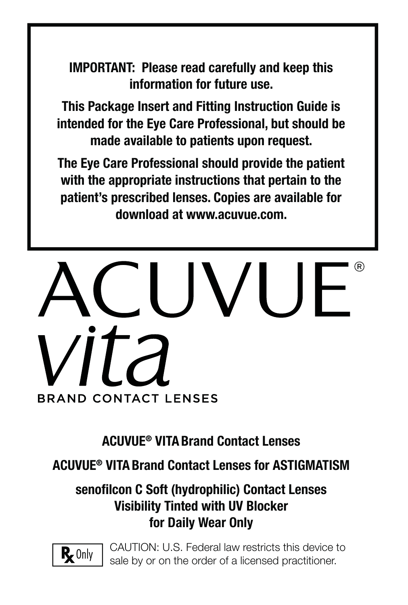**IMPORTANT: Please read carefully and keep this information for future use.**

**This Package Insert and Fitting Instruction Guide is intended for the Eye Care Professional, but should be made available to patients upon request.** 

**The Eye Care Professional should provide the patient with the appropriate instructions that pertain to the patient's prescribed lenses. Copies are available for download at www.acuvue.com.**

# **BRAND CONTACT LENSES**

**ACUVUE® VITA Brand Contact Lenses**

**ACUVUE® VITA Brand Contact Lenses for ASTIGMATISM**

### **senofi lcon C Soft (hydrophilic) Contact Lenses Visibility Tinted with UV Blocker for Daily Wear Only**



CAUTION: U.S. Federal law restricts this device to sale by or on the order of a licensed practitioner.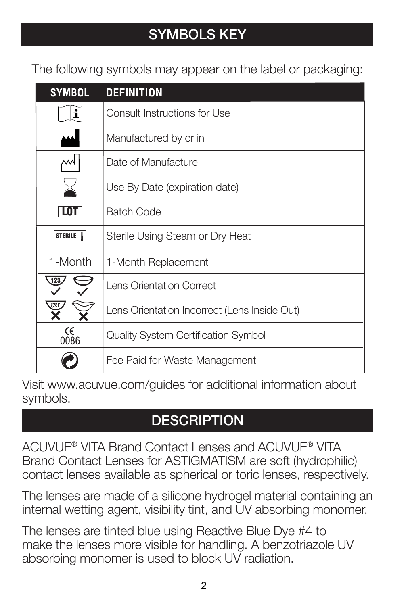## **SYMBOLS KEY**

The following symbols may appear on the label or packaging:

| <b>SYMBOL</b>                             | <b>DEFINITION</b>                            |
|-------------------------------------------|----------------------------------------------|
| i                                         | Consult Instructions for Use                 |
|                                           | Manufactured by or in                        |
|                                           | Date of Manufacture                          |
|                                           | Use By Date (expiration date)                |
| LOT                                       | <b>Batch Code</b>                            |
| STERILE                                   | Sterile Using Steam or Dry Heat              |
| 1-Month                                   | 1-Month Replacement                          |
| 123                                       | Lens Orientation Correct                     |
| $\overline{23}$                           | Lens Orientation Incorrect (Lens Inside Out) |
| $\begin{array}{c} 66 \\ 6086 \end{array}$ | Quality System Certification Symbol          |
|                                           | Fee Paid for Waste Management                |

Visit www.acuvue.com/guides for additional information about symbols.

### **DESCRIPTION**

ACUVUE® VITA Brand Contact Lenses and ACUVUE® VITA Brand Contact Lenses for ASTIGMATISM are soft (hydrophilic) contact lenses available as spherical or toric lenses, respectively.

The lenses are made of a silicone hydrogel material containing an internal wetting agent, visibility tint, and UV absorbing monomer.

The lenses are tinted blue using Reactive Blue Dye #4 to make the lenses more visible for handling. A benzotriazole UV absorbing monomer is used to block UV radiation.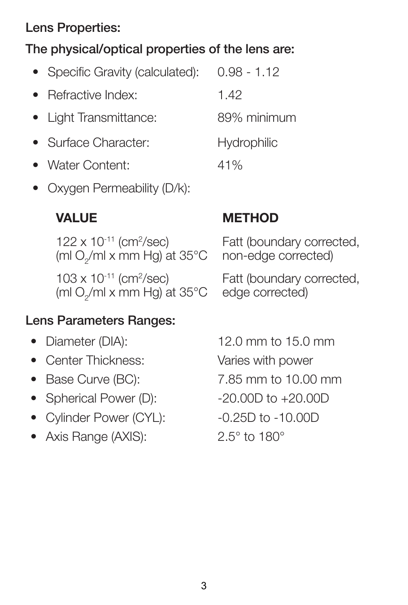### **Lens Properties:**

### **The physical/optical properties of the lens are:**

| • Specific Gravity (calculated): | $0.98 - 1.12$      |
|----------------------------------|--------------------|
| • Refractive Index:              | 1.42               |
| • Light Transmittance:           | 89% minimum        |
| • Surface Character:             | <b>Hydrophilic</b> |
| • Water Content:                 | 41%                |

• Oxygen Permeability (D/k):

 $122 \times 10^{-11}$  (cm<sup>2</sup>/sec) (ml O<sub>2</sub>/ml x mm Hg) at 35°C  $103 \times 10^{-11}$  (cm<sup>2</sup>/sec) (ml O<sub>2</sub>/ml x mm Hg) at 35°C

### **VALUE METHOD**

Fatt (boundary corrected, non-edge corrected)

Fatt (boundary corrected, edge corrected)

### **Lens Parameters Ranges:**

- 
- Center Thickness: Varies with power
- 
- Spherical Power (D): -20.00D to +20.00D
- Cylinder Power (CYL): -0.25D to -10.00D
- Axis Range (AXIS): 2.5° to 180°

• Diameter (DIA): 12.0 mm to 15.0 mm • Base Curve (BC): 7.85 mm to 10.00 mm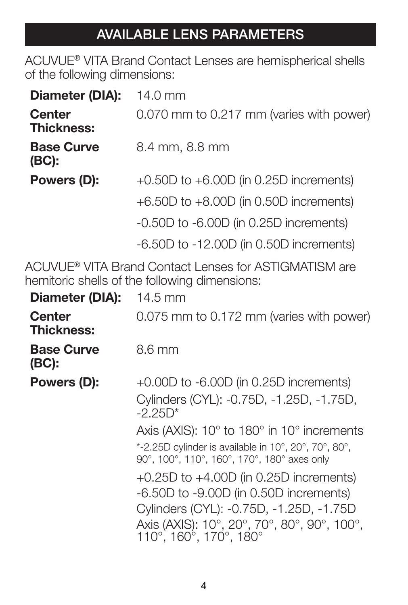## **AVAILABLE LENS PARAMETERS**

ACUVUE® VITA Brand Contact Lenses are hemispherical shells of the following dimensions:

| Diameter (DIA):                    | $14.0 \text{ mm}$                           |  |
|------------------------------------|---------------------------------------------|--|
| <b>Center</b><br><b>Thickness:</b> | 0.070 mm to 0.217 mm (varies with power)    |  |
| <b>Base Curve</b><br>(BC):         | 8.4 mm, 8.8 mm                              |  |
| Powers (D):                        | $+0.50D$ to $+6.00D$ (in 0.25D increments)  |  |
|                                    | +6.50D to +8.00D (in 0.50D increments)      |  |
|                                    | $-0.50D$ to $-6.00D$ (in 0.25D increments)  |  |
|                                    | $-6.50D$ to $-12.00D$ (in 0.50D increments) |  |

ACUVUE® VITA Brand Contact Lenses for ASTIGMATISM are hemitoric shells of the following dimensions:

| Diameter (DIA):                    | 14.5 mm                                                                                                                                                                                                      |
|------------------------------------|--------------------------------------------------------------------------------------------------------------------------------------------------------------------------------------------------------------|
| <b>Center</b><br><b>Thickness:</b> | 0.075 mm to 0.172 mm (varies with power)                                                                                                                                                                     |
| <b>Base Curve</b><br>(BC):         | $8.6 \text{ mm}$                                                                                                                                                                                             |
| Powers (D):                        | $+0.00D$ to $-6.00D$ (in 0.25D increments)                                                                                                                                                                   |
|                                    | Cylinders (CYL): -0.75D, -1.25D, -1.75D,<br>$-2.25D*$                                                                                                                                                        |
|                                    | Axis (AXIS): 10° to 180° in 10° increments<br>*-2.25D cylinder is available in 10°, 20°, 70°, 80°,<br>90°, 100°, 110°, 160°, 170°, 180° axes only                                                            |
|                                    | $+0.25D$ to $+4.00D$ (in 0.25D increments)<br>$-6.50D$ to $-9.00D$ (in 0.50D increments)<br>Cylinders (CYL): -0.75D, -1.25D, -1.75D<br>Axis (AXIS): 10°, 20°, 70°, 80°, 90°, 100°,<br>110°, 160°, 170°, 180° |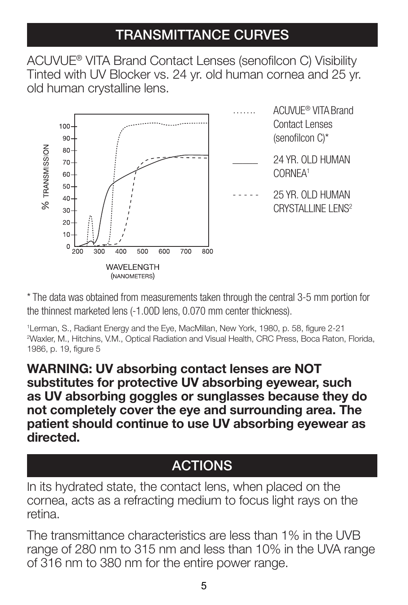### **TRANSMITTANCE CURVES**

ACUVUE® VITA Brand Contact Lenses (senofilcon C) Visibility Tinted with UV Blocker vs. 24 yr. old human cornea and 25 yr. old human crystalline lens.



\* The data was obtained from measurements taken through the central 3-5 mm portion for the thinnest marketed lens (-1.00D lens, 0.070 mm center thickness).

1Lerman, S., Radiant Energy and the Eye, MacMillan, New York, 1980, p. 58, figure 2-21 2 Waxler, M., Hitchins, V.M., Optical Radiation and Visual Health, CRC Press, Boca Raton, Florida, 1986, p. 19, figure 5

**WARNING: UV absorbing contact lenses are NOT substitutes for protective UV absorbing eyewear, such as UV absorbing goggles or sunglasses because they do not completely cover the eye and surrounding area. The patient should continue to use UV absorbing eyewear as directed.**

### **ACTIONS**

In its hydrated state, the contact lens, when placed on the cornea, acts as a refracting medium to focus light rays on the retina.

The transmittance characteristics are less than 1% in the UVB range of 280 nm to 315 nm and less than 10% in the UVA range of 316 nm to 380 nm for the entire power range.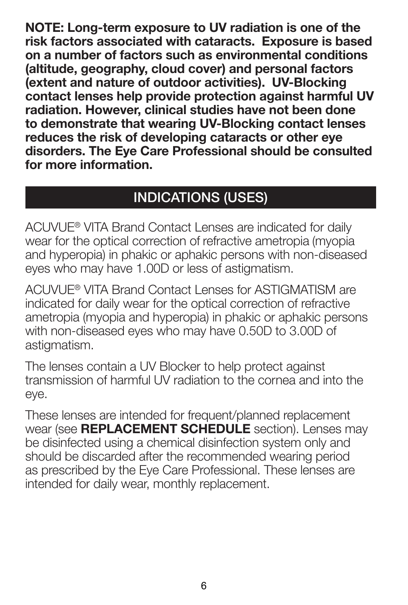**NOTE: Long-term exposure to UV radiation is one of the risk factors associated with cataracts. Exposure is based on a number of factors such as environmental conditions (altitude, geography, cloud cover) and personal factors (extent and nature of outdoor activities). UV-Blocking contact lenses help provide protection against harmful UV radiation. However, clinical studies have not been done to demonstrate that wearing UV-Blocking contact lenses reduces the risk of developing cataracts or other eye disorders. The Eye Care Professional should be consulted for more information.**

### **INDICATIONS (USES)**

ACUVUE® VITA Brand Contact Lenses are indicated for daily wear for the optical correction of refractive ametropia (myopia and hyperopia) in phakic or aphakic persons with non-diseased eyes who may have 1.00D or less of astigmatism.

ACUVUE® VITA Brand Contact Lenses for ASTIGMATISM are indicated for daily wear for the optical correction of refractive ametropia (myopia and hyperopia) in phakic or aphakic persons with non-diseased eyes who may have 0.50D to 3.00D of astigmatism.

The lenses contain a UV Blocker to help protect against transmission of harmful UV radiation to the cornea and into the eye.

These lenses are intended for frequent/planned replacement wear (see **REPLACEMENT SCHEDULE** section). Lenses may be disinfected using a chemical disinfection system only and should be discarded after the recommended wearing period as prescribed by the Eye Care Professional. These lenses are intended for daily wear, monthly replacement.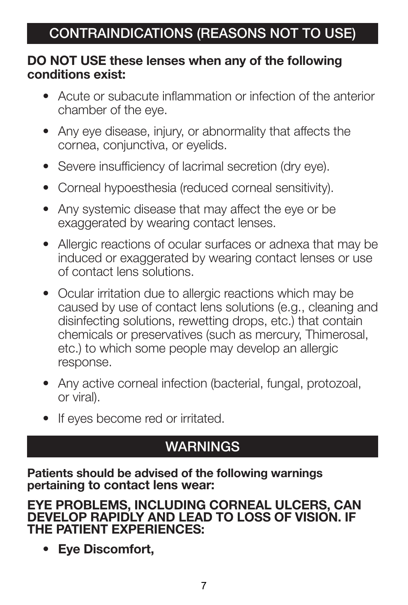### **DO NOT USE these lenses when any of the following conditions exist:**

- Acute or subacute inflammation or infection of the anterior chamber of the eye.
- Any eye disease, injury, or abnormality that affects the cornea, conjunctiva, or eyelids.
- Severe insufficiency of lacrimal secretion (dry eye).
- Corneal hypoesthesia (reduced corneal sensitivity).
- Any systemic disease that may affect the eye or be exaggerated by wearing contact lenses.
- Allergic reactions of ocular surfaces or adnexa that may be induced or exaggerated by wearing contact lenses or use of contact lens solutions.
- Ocular irritation due to allergic reactions which may be caused by use of contact lens solutions (e.g., cleaning and disinfecting solutions, rewetting drops, etc.) that contain chemicals or preservatives (such as mercury, Thimerosal, etc.) to which some people may develop an allergic response.
- Any active corneal infection (bacterial, fungal, protozoal, or viral).
- If eyes become red or irritated.

### **WARNINGS**

**Patients should be advised of the following warnings pertaining to contact lens wear:**

**EYE PROBLEMS, INCLUDING CORNEAL ULCERS, CAN DEVELOP RAPIDLY AND LEAD TO LOSS OF VISION. IF THE PATIENT EXPERIENCES:**

**• Eye Discomfort,**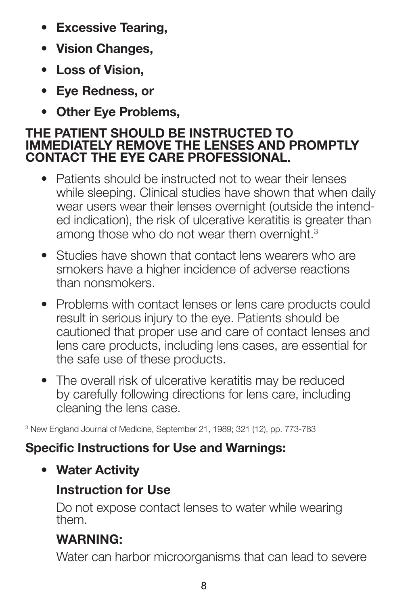- **Excessive Tearing,**
- **Vision Changes,**
- **Loss of Vision,**
- **Eye Redness, or**
- **Other Eye Problems,**

### **THE PATIENT SHOULD BE INSTRUCTED TO IMMEDIATELY REMOVE THE LENSES AND PROMPTLY CONTACT THE EYE CARE PROFESSIONAL.**

- Patients should be instructed not to wear their lenses while sleeping. Clinical studies have shown that when daily wear users wear their lenses overnight (outside the intended indication), the risk of ulcerative keratitis is greater than among those who do not wear them overnight.<sup>3</sup>
- Studies have shown that contact lens wearers who are smokers have a higher incidence of adverse reactions than nonsmokers.
- Problems with contact lenses or lens care products could result in serious injury to the eye. Patients should be cautioned that proper use and care of contact lenses and lens care products, including lens cases, are essential for the safe use of these products.
- The overall risk of ulcerative keratitis may be reduced by carefully following directions for lens care, including cleaning the lens case.

3 New England Journal of Medicine, September 21, 1989; 321 (12), pp. 773-783

### **Specific Instructions for Use and Warnings:**

**• Water Activity**

### **Instruction for Use**

Do not expose contact lenses to water while wearing them.

### **WARNING:**

Water can harbor microorganisms that can lead to severe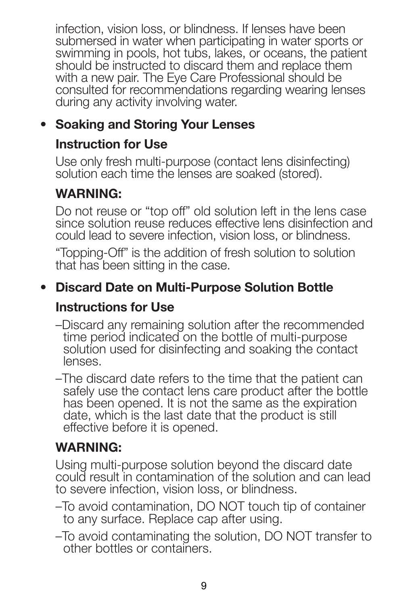infection, vision loss, or blindness. If lenses have been submersed in water when participating in water sports or swimming in pools, hot tubs, lakes, or oceans, the patient should be instructed to discard them and replace them with a new pair. The Eye Care Professional should be consulted for recommendations regarding wearing lenses during any activity involving water.

### **• Soaking and Storing Your Lenses**

### **Instruction for Use**

Use only fresh multi-purpose (contact lens disinfecting) solution each time the lenses are soaked (stored).

### **WARNING:**

Do not reuse or "top off" old solution left in the lens case since solution reuse reduces effective lens disinfection and could lead to severe infection, vision loss, or blindness.

"Topping-Off" is the addition of fresh solution to solution that has been sitting in the case.

### **• Discard Date on Multi-Purpose Solution Bottle**

### **Instructions for Use**

- –Discard any remaining solution after the recommended time period indicated on the bottle of multi-purpose solution used for disinfecting and soaking the contact lenses.
- –The discard date refers to the time that the patient can safely use the contact lens care product after the bottle has been opened. It is not the same as the expiration date, which is the last date that the product is still effective before it is opened.

### **WARNING:**

Using multi-purpose solution beyond the discard date could result in contamination of the solution and can lead to severe infection, vision loss, or blindness.

- –To avoid contamination, DO NOT touch tip of container to any surface. Replace cap after using.
- –To avoid contaminating the solution, DO NOT transfer to other bottles or containers.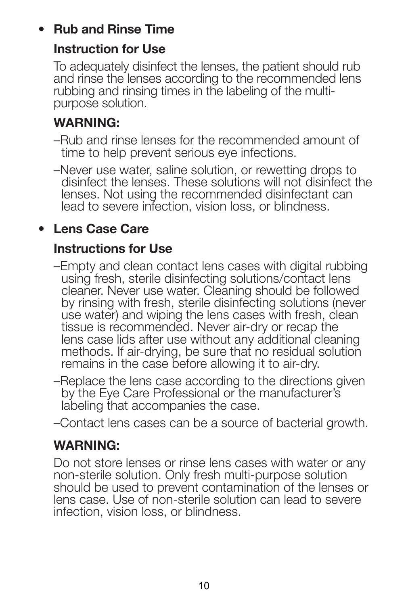### **• Rub and Rinse Time**

### **Instruction for Use**

To adequately disinfect the lenses, the patient should rub and rinse the lenses according to the recommended lens rubbing and rinsing times in the labeling of the multipurpose solution.

### **WARNING:**

- –Rub and rinse lenses for the recommended amount of time to help prevent serious eye infections.
- –Never use water, saline solution, or rewetting drops to disinfect the lenses. These solutions will not disinfect the lenses. Not using the recommended disinfectant can lead to severe infection, vision loss, or blindness.

### **• Lens Case Care**

### **Instructions for Use**

- –Empty and clean contact lens cases with digital rubbing using fresh, sterile disinfecting solutions/contact lens cleaner. Never use water. Cleaning should be followed by rinsing with fresh, sterile disinfecting solutions (never use water) and wiping the lens cases with fresh, clean tissue is recommended. Never air-dry or recap the lens case lids after use without any additional cleaning methods. If air-drying, be sure that no residual solution remains in the case before allowing it to air-dry.
- –Replace the lens case according to the directions given by the Eye Care Professional or the manufacturer's labeling that accompanies the case.
- –Contact lens cases can be a source of bacterial growth.

### **WARNING:**

Do not store lenses or rinse lens cases with water or any non-sterile solution. Only fresh multi-purpose solution should be used to prevent contamination of the lenses or lens case. Use of non-sterile solution can lead to severe infection, vision loss, or blindness.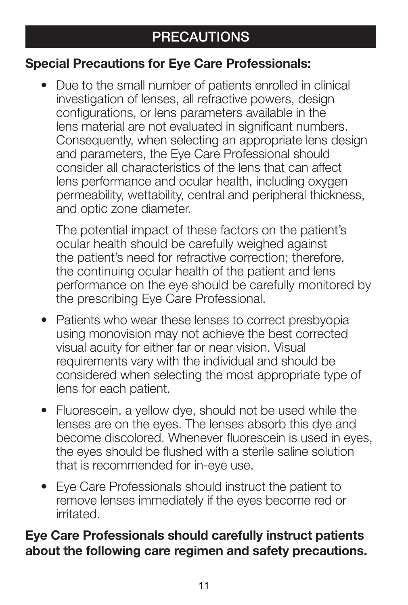### **Special Precautions for Eye Care Professionals:**

• Due to the small number of patients enrolled in clinical investigation of lenses, all refractive powers, design configurations, or lens parameters available in the lens material are not evaluated in significant numbers. Consequently, when selecting an appropriate lens design and parameters, the Eye Care Professional should consider all characteristics of the lens that can affect lens performance and ocular health, including oxygen permeability, wettability, central and peripheral thickness, and optic zone diameter.

The potential impact of these factors on the patient's ocular health should be carefully weighed against the patient's need for refractive correction; therefore, the continuing ocular health of the patient and lens performance on the eye should be carefully monitored by the prescribing Eye Care Professional.

- Patients who wear these lenses to correct presbyopia using monovision may not achieve the best corrected visual acuity for either far or near vision. Visual requirements vary with the individual and should be considered when selecting the most appropriate type of lens for each patient.
- Fluorescein, a yellow dye, should not be used while the lenses are on the eyes. The lenses absorb this dye and become discolored. Whenever fluorescein is used in eyes, the eyes should be flushed with a sterile saline solution that is recommended for in-eye use.
- Eye Care Professionals should instruct the patient to remove lenses immediately if the eyes become red or irritated.

### **Eye Care Professionals should carefully instruct patients about the following care regimen and safety precautions.**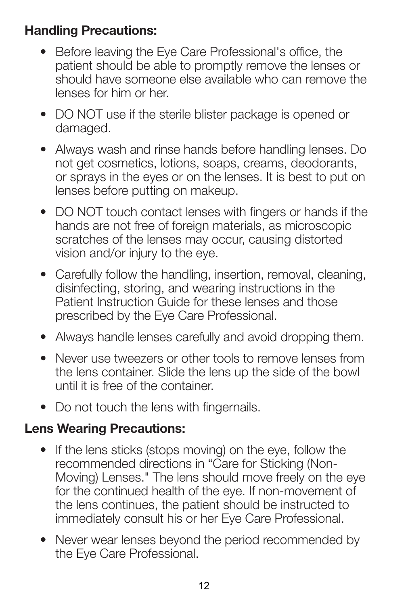### **Handling Precautions:**

- Before leaving the Eye Care Professional's office, the patient should be able to promptly remove the lenses or should have someone else available who can remove the lenses for him or her.
- DO NOT use if the sterile blister package is opened or damaged.
- Always wash and rinse hands before handling lenses. Do not get cosmetics, lotions, soaps, creams, deodorants, or sprays in the eyes or on the lenses. It is best to put on lenses before putting on makeup.
- DO NOT touch contact lenses with fingers or hands if the hands are not free of foreign materials, as microscopic scratches of the lenses may occur, causing distorted vision and/or injury to the eye.
- Carefully follow the handling, insertion, removal, cleaning, disinfecting, storing, and wearing instructions in the Patient Instruction Guide for these lenses and those prescribed by the Eye Care Professional.
- Always handle lenses carefully and avoid dropping them.
- Never use tweezers or other tools to remove lenses from the lens container. Slide the lens up the side of the bowl until it is free of the container.
- Do not touch the lens with fingernails.

### **Lens Wearing Precautions:**

- If the lens sticks (stops moving) on the eye, follow the recommended directions in "Care for Sticking (Non-Moving) Lenses." The lens should move freely on the eye for the continued health of the eye. If non-movement of the lens continues, the patient should be instructed to immediately consult his or her Eye Care Professional.
- Never wear lenses beyond the period recommended by the Eye Care Professional.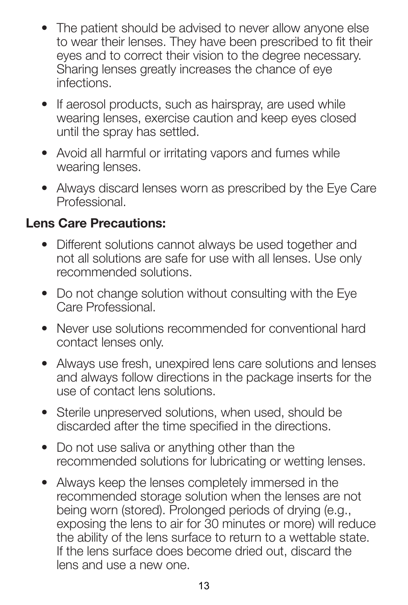- The patient should be advised to never allow anyone else to wear their lenses. They have been prescribed to fit their eyes and to correct their vision to the degree necessary. Sharing lenses greatly increases the chance of eye infections.
- If aerosol products, such as hairspray, are used while wearing lenses, exercise caution and keep eyes closed until the spray has settled.
- Avoid all harmful or irritating vapors and fumes while wearing lenses.
- Always discard lenses worn as prescribed by the Eye Care Professional.

### **Lens Care Precautions:**

- Different solutions cannot always be used together and not all solutions are safe for use with all lenses. Use only recommended solutions.
- Do not change solution without consulting with the Eye Care Professional.
- Never use solutions recommended for conventional hard contact lenses only.
- Always use fresh, unexpired lens care solutions and lenses and always follow directions in the package inserts for the use of contact lens solutions.
- Sterile unpreserved solutions, when used, should be discarded after the time specified in the directions.
- Do not use saliva or anything other than the recommended solutions for lubricating or wetting lenses.
- Always keep the lenses completely immersed in the recommended storage solution when the lenses are not being worn (stored). Prolonged periods of drying (e.g., exposing the lens to air for 30 minutes or more) will reduce the ability of the lens surface to return to a wettable state. If the lens surface does become dried out, discard the lens and use a new one.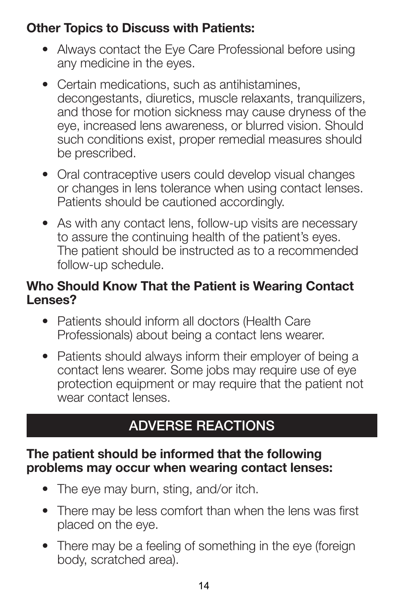### **Other Topics to Discuss with Patients:**

- Always contact the Eye Care Professional before using any medicine in the eyes.
- Certain medications, such as antihistamines, decongestants, diuretics, muscle relaxants, tranquilizers, and those for motion sickness may cause dryness of the eye, increased lens awareness, or blurred vision. Should such conditions exist, proper remedial measures should be prescribed.
- Oral contraceptive users could develop visual changes or changes in lens tolerance when using contact lenses. Patients should be cautioned accordingly.
- As with any contact lens, follow-up visits are necessary to assure the continuing health of the patient's eyes. The patient should be instructed as to a recommended follow-up schedule.

### **Who Should Know That the Patient is Wearing Contact Lenses?**

- Patients should inform all doctors (Health Care Professionals) about being a contact lens wearer.
- Patients should always inform their employer of being a contact lens wearer. Some jobs may require use of eye protection equipment or may require that the patient not wear contact lenses.

### **ADVERSE REACTIONS**

### **The patient should be informed that the following problems may occur when wearing contact lenses:**

- The eye may burn, sting, and/or itch.
- There may be less comfort than when the lens was first placed on the eye.
- There may be a feeling of something in the eye (foreign body, scratched area).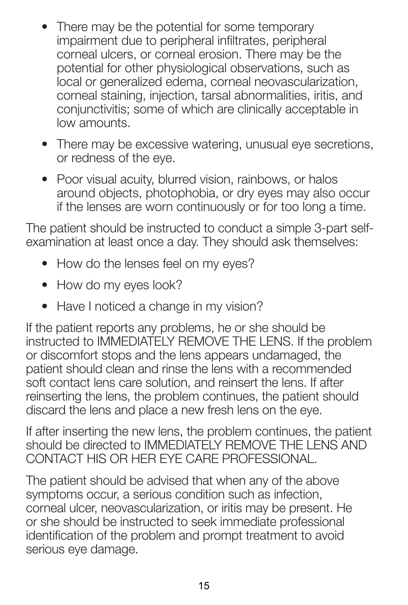- There may be the potential for some temporary impairment due to peripheral infiltrates, peripheral corneal ulcers, or corneal erosion. There may be the potential for other physiological observations, such as local or generalized edema, corneal neovascularization, corneal staining, injection, tarsal abnormalities, iritis, and conjunctivitis; some of which are clinically acceptable in low amounts.
- There may be excessive watering, unusual eye secretions, or redness of the eye.
- Poor visual acuity, blurred vision, rainbows, or halos around objects, photophobia, or dry eyes may also occur if the lenses are worn continuously or for too long a time.

The patient should be instructed to conduct a simple 3-part selfexamination at least once a day. They should ask themselves:

- How do the lenses feel on my eyes?
- How do my eyes look?
- Have I noticed a change in my vision?

If the patient reports any problems, he or she should be instructed to IMMEDIATELY REMOVE THE LENS. If the problem or discomfort stops and the lens appears undamaged, the patient should clean and rinse the lens with a recommended soft contact lens care solution, and reinsert the lens. If after reinserting the lens, the problem continues, the patient should discard the lens and place a new fresh lens on the eye.

If after inserting the new lens, the problem continues, the patient should be directed to IMMEDIATELY REMOVE THE LENS AND CONTACT HIS OR HER EYE CARE PROFESSIONAL.

The patient should be advised that when any of the above symptoms occur, a serious condition such as infection, corneal ulcer, neovascularization, or iritis may be present. He or she should be instructed to seek immediate professional identification of the problem and prompt treatment to avoid serious eye damage.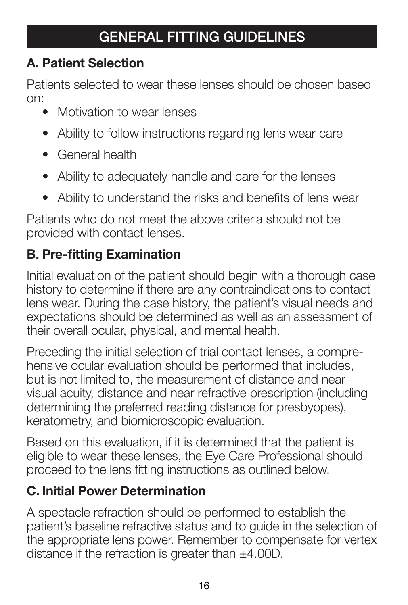### **A. Patient Selection**

Patients selected to wear these lenses should be chosen based on:

- Motivation to wear lenses
- Ability to follow instructions regarding lens wear care
- General health
- Ability to adequately handle and care for the lenses
- Ability to understand the risks and benefits of lens wear

Patients who do not meet the above criteria should not be provided with contact lenses.

### **B. Pre-fitting Examination**

Initial evaluation of the patient should begin with a thorough case history to determine if there are any contraindications to contact lens wear. During the case history, the patient's visual needs and expectations should be determined as well as an assessment of their overall ocular, physical, and mental health.

Preceding the initial selection of trial contact lenses, a comprehensive ocular evaluation should be performed that includes, but is not limited to, the measurement of distance and near visual acuity, distance and near refractive prescription (including determining the preferred reading distance for presbyopes), keratometry, and biomicroscopic evaluation.

Based on this evaluation, if it is determined that the patient is eligible to wear these lenses, the Eye Care Professional should proceed to the lens fitting instructions as outlined below.

### **C. Initial Power Determination**

A spectacle refraction should be performed to establish the patient's baseline refractive status and to guide in the selection of the appropriate lens power. Remember to compensate for vertex distance if the refraction is greater than ±4.00D.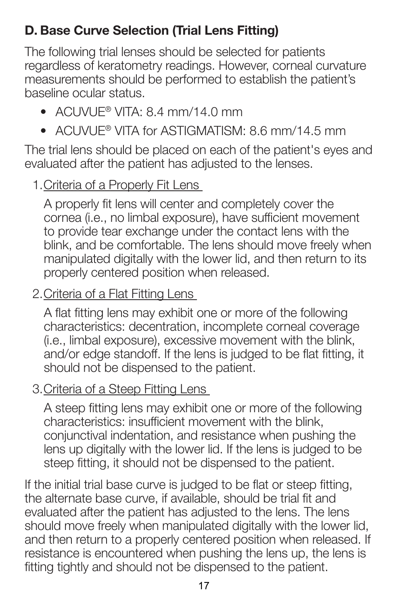### **D. Base Curve Selection (Trial Lens Fitting)**

The following trial lenses should be selected for patients regardless of keratometry readings. However, corneal curvature measurements should be performed to establish the patient's baseline ocular status.

- ACUVUE® VITA:  $8.4$  mm/14.0 mm
- ACLIVILIF® VITA for ASTIGMATISM: 8.6 mm/14.5 mm

The trial lens should be placed on each of the patient's eyes and evaluated after the patient has adjusted to the lenses.

### 1. Criteria of a Properly Fit Lens

A properly fit lens will center and completely cover the cornea (i.e., no limbal exposure), have sufficient movement to provide tear exchange under the contact lens with the blink, and be comfortable. The lens should move freely when manipulated digitally with the lower lid, and then return to its properly centered position when released.

### 2. Criteria of a Flat Fitting Lens

A flat fitting lens may exhibit one or more of the following characteristics: decentration, incomplete corneal coverage (i.e., limbal exposure), excessive movement with the blink, and/or edge standoff. If the lens is judged to be flat fitting, it should not be dispensed to the patient.

### 3. Criteria of a Steep Fitting Lens

A steep fitting lens may exhibit one or more of the following characteristics: insufficient movement with the blink, conjunctival indentation, and resistance when pushing the lens up digitally with the lower lid. If the lens is judged to be steep fitting, it should not be dispensed to the patient.

If the initial trial base curve is judged to be flat or steep fitting, the alternate base curve, if available, should be trial fit and evaluated after the patient has adjusted to the lens. The lens should move freely when manipulated digitally with the lower lid, and then return to a properly centered position when released. If resistance is encountered when pushing the lens up, the lens is fitting tightly and should not be dispensed to the patient.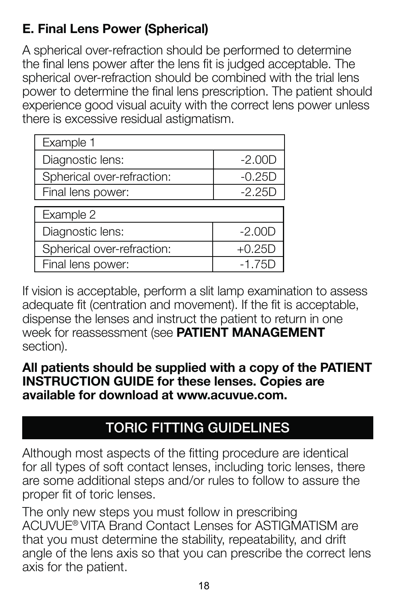### **E. Final Lens Power (Spherical)**

A spherical over-refraction should be performed to determine the final lens power after the lens fit is judged acceptable. The spherical over-refraction should be combined with the trial lens power to determine the final lens prescription. The patient should experience good visual acuity with the correct lens power unless there is excessive residual astigmatism.

| Example 1                  |          |  |
|----------------------------|----------|--|
| Diagnostic lens:           | $-2.00D$ |  |
| Spherical over-refraction: | $-0.25D$ |  |
| Final lens power:          | $-2.25D$ |  |
| Example 2                  |          |  |
| Diagnostic lens:           | $-2.00D$ |  |
| Spherical over-refraction: | $+0.25D$ |  |
| Final lens power:          | $-1.75C$ |  |

If vision is acceptable, perform a slit lamp examination to assess adequate fit (centration and movement). If the fit is acceptable, dispense the lenses and instruct the patient to return in one week for reassessment (see **PATIENT MANAGEMENT**  section).

### **All patients should be supplied with a copy of the PATIENT INSTRUCTION GUIDE for these lenses. Copies are available for download at www.acuvue.com.**

### **TORIC FITTING GUIDELINES**

Although most aspects of the fitting procedure are identical for all types of soft contact lenses, including toric lenses, there are some additional steps and/or rules to follow to assure the proper fit of toric lenses.

The only new steps you must follow in prescribing ACUVUE® VITA Brand Contact Lenses for ASTIGMATISM are that you must determine the stability, repeatability, and drift angle of the lens axis so that you can prescribe the correct lens axis for the patient.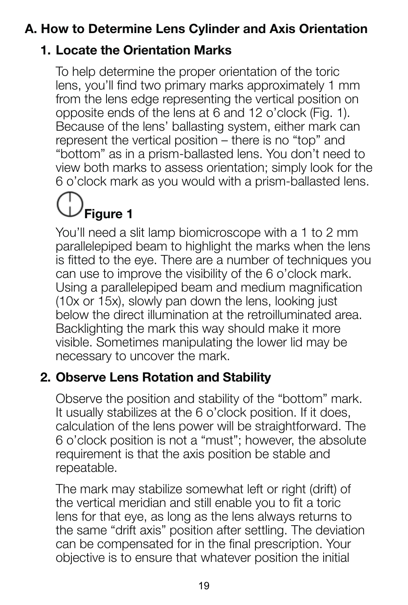### **A. How to Determine Lens Cylinder and Axis Orientation**

### **1. Locate the Orientation Marks**

To help determine the proper orientation of the toric lens, you'll find two primary marks approximately 1 mm from the lens edge representing the vertical position on opposite ends of the lens at 6 and 12 o'clock (Fig. 1). Because of the lens' ballasting system, either mark can represent the vertical position – there is no "top" and "bottom" as in a prism-ballasted lens. You don't need to view both marks to assess orientation; simply look for the 6 o'clock mark as you would with a prism-ballasted lens.

# **Figure 1**

You'll need a slit lamp biomicroscope with a 1 to 2 mm parallelepiped beam to highlight the marks when the lens is fitted to the eye. There are a number of techniques you can use to improve the visibility of the 6 o'clock mark. Using a parallelepiped beam and medium magnification (10x or 15x), slowly pan down the lens, looking just below the direct illumination at the retroilluminated area. Backlighting the mark this way should make it more visible. Sometimes manipulating the lower lid may be necessary to uncover the mark.

### **2. Observe Lens Rotation and Stability**

Observe the position and stability of the "bottom" mark. It usually stabilizes at the 6 o'clock position. If it does, calculation of the lens power will be straightforward. The 6 o'clock position is not a "must"; however, the absolute requirement is that the axis position be stable and repeatable.

The mark may stabilize somewhat left or right (drift) of the vertical meridian and still enable you to fit a toric lens for that eye, as long as the lens always returns to the same "drift axis" position after settling. The deviation can be compensated for in the final prescription. Your objective is to ensure that whatever position the initial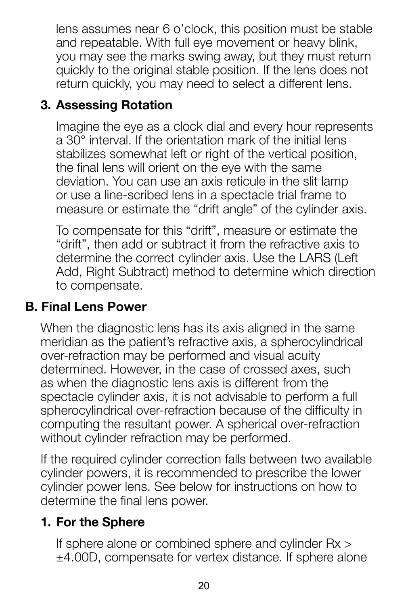lens assumes near 6 o'clock, this position must be stable and repeatable. With full eye movement or heavy blink, you may see the marks swing away, but they must return quickly to the original stable position. If the lens does not return quickly, you may need to select a different lens.

### **3. Assessing Rotation**

Imagine the eye as a clock dial and every hour represents a 30° interval. If the orientation mark of the initial lens stabilizes somewhat left or right of the vertical position. the final lens will orient on the eye with the same deviation. You can use an axis reticule in the slit lamp or use a line-scribed lens in a spectacle trial frame to measure or estimate the "drift angle" of the cylinder axis.

To compensate for this "drift", measure or estimate the "drift", then add or subtract it from the refractive axis to determine the correct cylinder axis. Use the LARS (Left Add, Right Subtract) method to determine which direction to compensate.

### **B. Final Lens Power**

When the diagnostic lens has its axis aligned in the same meridian as the patient's refractive axis, a spherocylindrical over-refraction may be performed and visual acuity determined. However, in the case of crossed axes, such as when the diagnostic lens axis is different from the spectacle cylinder axis, it is not advisable to perform a full spherocylindrical over-refraction because of the difficulty in computing the resultant power. A spherical over-refraction without cylinder refraction may be performed.

If the required cylinder correction falls between two available cylinder powers, it is recommended to prescribe the lower cylinder power lens. See below for instructions on how to determine the final lens power.

### **1. For the Sphere**

If sphere alone or combined sphere and cylinder Rx > ±4.00D, compensate for vertex distance. If sphere alone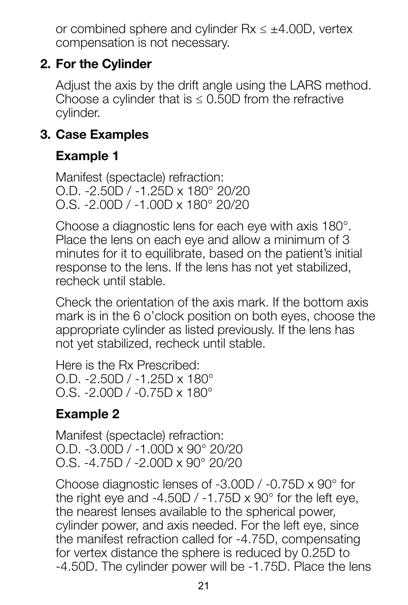or combined sphere and cylinder Rx ≤ ±4.00D, vertex compensation is not necessary.

### **2. For the Cylinder**

Adjust the axis by the drift angle using the LARS method. Choose a cylinder that is  $\leq 0.50D$  from the refractive cylinder.

### **3. Case Examples**

### **Example 1**

Manifest (spectacle) refraction: O.D. -2.50D / -1.25D x 180° 20/20 O.S. -2.00D / -1.00D x 180° 20/20

Choose a diagnostic lens for each eye with axis 180°. Place the lens on each eye and allow a minimum of 3 minutes for it to equilibrate, based on the patient's initial response to the lens. If the lens has not yet stabilized, recheck until stable.

Check the orientation of the axis mark. If the bottom axis mark is in the 6 o'clock position on both eyes, choose the appropriate cylinder as listed previously. If the lens has not yet stabilized, recheck until stable.

Here is the Rx Prescribed: O.D. -2.50D / -1.25D x 180° O.S. -2.00D / -0.75D x 180°

### **Example 2**

Manifest (spectacle) refraction: O.D. -3.00D / -1.00D x 90° 20/20 O.S. -4.75D / -2.00D x 90° 20/20

Choose diagnostic lenses of -3.00D / -0.75D x 90° for the right eye and -4.50D / -1.75D  $\times$  90 $^{\circ}$  for the left eye. the nearest lenses available to the spherical power, cylinder power, and axis needed. For the left eye, since the manifest refraction called for -4.75D, compensating for vertex distance the sphere is reduced by 0.25D to -4.50D. The cylinder power will be -1.75D. Place the lens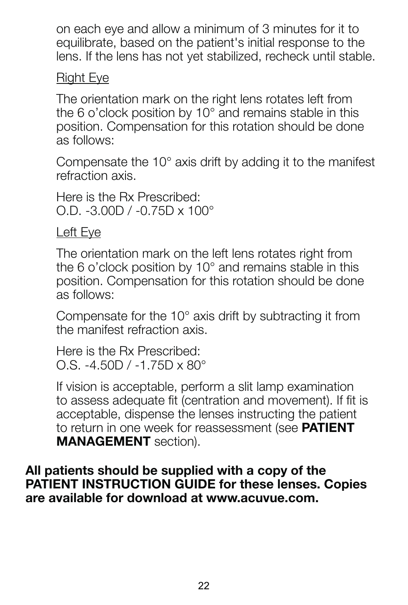on each eye and allow a minimum of 3 minutes for it to equilibrate, based on the patient's initial response to the lens. If the lens has not yet stabilized, recheck until stable.

### Right Eye

The orientation mark on the right lens rotates left from the 6 o'clock position by 10° and remains stable in this position. Compensation for this rotation should be done as follows:

Compensate the 10° axis drift by adding it to the manifest refraction axis.

Here is the Rx Prescribed: O.D. -3.00D / -0.75D x 100°

Left Eye

The orientation mark on the left lens rotates right from the 6 o'clock position by 10° and remains stable in this position. Compensation for this rotation should be done as follows:

Compensate for the 10° axis drift by subtracting it from the manifest refraction axis.

Here is the Rx Prescribed: O.S. -4.50D / -1.75D x 80°

If vision is acceptable, perform a slit lamp examination to assess adequate fit (centration and movement). If fit is acceptable, dispense the lenses instructing the patient to return in one week for reassessment (see **PATIENT MANAGEMENT** section).

**All patients should be supplied with a copy of the PATIENT INSTRUCTION GUIDE for these lenses. Copies are available for download at www.acuvue.com.**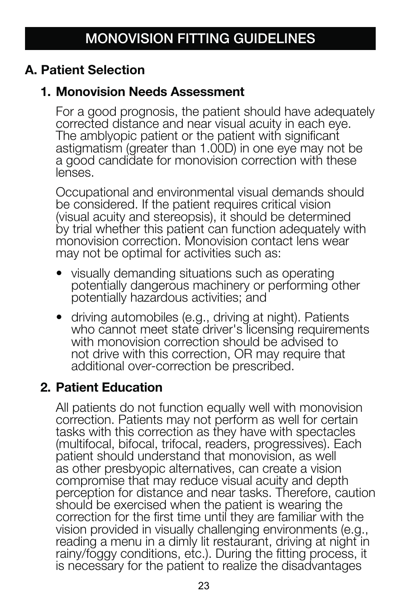### **A. Patient Selection**

### **1. Monovision Needs Assessment**

For a good prognosis, the patient should have adequately corrected distance and near visual acuity in each eye. The amblyopic patient or the patient with significant astigmatism (greater than 1.00D) in one eye may not be a good candidate for monovision correction with these lenses.

Occupational and environmental visual demands should be considered. If the patient requires critical vision (visual acuity and stereopsis), it should be determined by trial whether this patient can function adequately with monovision correction. Monovision contact lens wear may not be optimal for activities such as:

- visually demanding situations such as operating potentially dangerous machinery or performing other potentially hazardous activities; and
- driving automobiles (e.g., driving at night). Patients who cannot meet state driver's licensing requirements with monovision correction should be advised to not drive with this correction, OR may require that additional over-correction be prescribed.

### **2. Patient Education**

All patients do not function equally well with monovision correction. Patients may not perform as well for certain tasks with this correction as they have with spectacles (multifocal, bifocal, trifocal, readers, progressives). Each patient should understand that monovision, as well as other presbyopic alternatives, can create a vision compromise that may reduce visual acuity and depth perception for distance and near tasks. Therefore, caution should be exercised when the patient is wearing the correction for the first time until they are familiar with the vision provided in visually challenging environments (e.g., reading a menu in a dimiv lit restaurant, driving at night in rainy/foggy conditions, etc.). During the fitting process, it is necessary for the patient to realize the disadvantages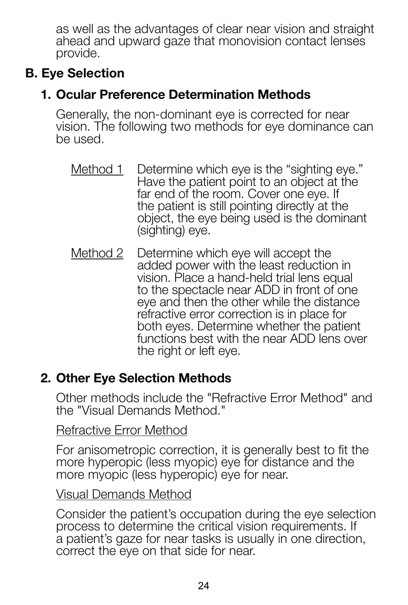as well as the advantages of clear near vision and straight ahead and upward gaze that monovision contact lenses provide.

### **B. Eye Selection**

### **1. Ocular Preference Determination Methods**

Generally, the non-dominant eye is corrected for near vision. The following two methods for eye dominance can be used.

- Method 1 Determine which eye is the "sighting eye." Have the patient point to an object at the far end of the room. Cover one eye. If the patient is still pointing directly at the object, the eye being used is the dominant (sighting) eve.
- Method 2 Determine which eye will accept the added power with the least reduction in vision. Place a hand-held trial lens equal to the spectacle near ADD in front of one eye and then the other while the distance refractive error correction is in place for both eyes. Determine whether the patient functions best with the near ADD lens over the right or left eye.

### **2. Other Eye Selection Methods**

Other methods include the "Refractive Error Method" and the "Visual Demands Method."

### Refractive Error Method

For anisometropic correction, it is generally best to fit the more hyperopic (less myopic) eye for distance and the more myopic (less hyperopic) eve for near.

### Visual Demands Method

Consider the patient's occupation during the eye selection process to determine the critical vision requirements. If a patient's gaze for near tasks is usually in one direction, correct the eye on that side for near.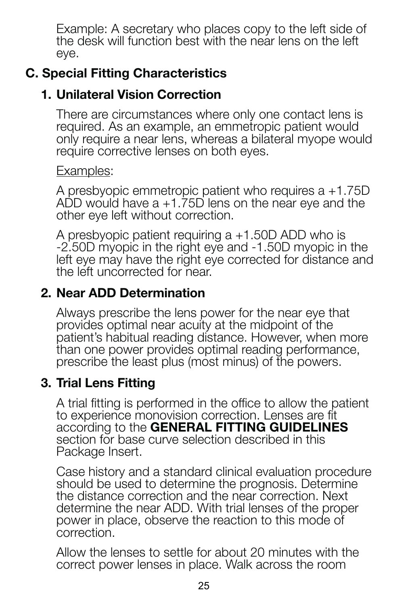Example: A secretary who places copy to the left side of the desk will function best with the near lens on the left eye.

### **C. Special Fitting Characteristics**

### **1. Unilateral Vision Correction**

There are circumstances where only one contact lens is required. As an example, an emmetropic patient would only require a near lens, whereas a bilateral myope would require corrective lenses on both eyes.

### Examples:

A presbyopic emmetropic patient who requires a +1.75D ADD would have a +1.75D lens on the near eye and the other eye left without correction.

A presbyopic patient requiring a +1.50D ADD who is -2.50D myopic in the right eye and -1.50D myopic in the left eye may have the right eye corrected for distance and the left uncorrected for near.

### **2. Near ADD Determination**

Always prescribe the lens power for the near eye that provides optimal near acuity at the midpoint of the patient's habitual reading distance. However, when more than one power provides optimal reading performance, prescribe the least plus (most minus) of the powers.

### **3. Trial Lens Fitting**

A trial fitting is performed in the office to allow the patient to experience monovision correction. Lenses are fit according to the **GENERAL FITTING GUIDELINES** section for base curve selection described in this Package Insert.

Case history and a standard clinical evaluation procedure should be used to determine the prognosis. Determine the distance correction and the near correction. Next determine the near ADD. With trial lenses of the proper power in place, observe the reaction to this mode of correction.

Allow the lenses to settle for about 20 minutes with the correct power lenses in place. Walk across the room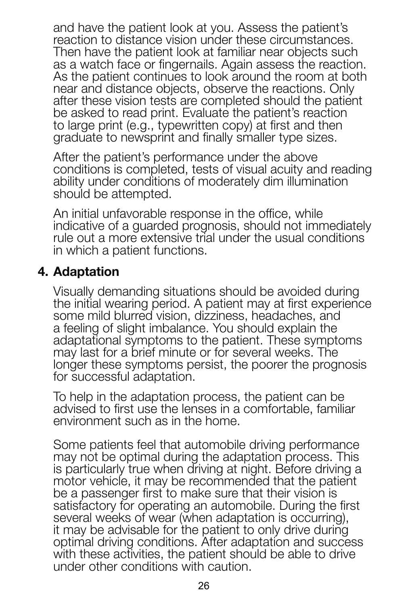and have the patient look at you. Assess the patient's reaction to distance vision under these circumstances. Then have the patient look at familiar near objects such as a watch face or fingernals. Again assess the reaction. As the patient continues to look around the room at both near and distance objects, observe the reactions. Only after these vision tests are completed should the patient be asked to read print. Evaluate the patient's reaction to large print (e.g., typewritten copy) at first and then graduate to newsprint and finally smaller type sizes.

After the patient's performance under the above conditions is completed, tests of visual acuity and reading ability under conditions of moderately dim illumination should be attempted.

An initial unfavorable response in the office, while indicative of a guarded prognosis, should not immediately rule out a more extensive trial under the usual conditions in which a patient functions.

### **4. Adaptation**

Visually demanding situations should be avoided during the initial wearing period. A patient may at first experience some mild blurred vision, dizziness, headaches, and a feeling of slight imbalance. You should explain the adaptational symptoms to the patient. These symptoms may last for a brief minute or for several weeks. The longer these symptoms persist, the poorer the prognosis for successful adaptation.

To help in the adaptation process, the patient can be advised to first use the lenses in a comfortable, familiar environment such as in the home.

Some patients feel that automobile driving performance may not be optimal during the adaptation process. This is particularly true when driving at night. Before driving a motor vehicle, it may be recommended that the patient be a passenger first to make sure that their vision is satisfactory for operating an automobile. During the first several weeks of wear (when adaptation is occurring), it may be advisable for the patient to only drive during optimal driving conditions. After adaptation and success with these activities, the patient should be able to drive under other conditions with caution.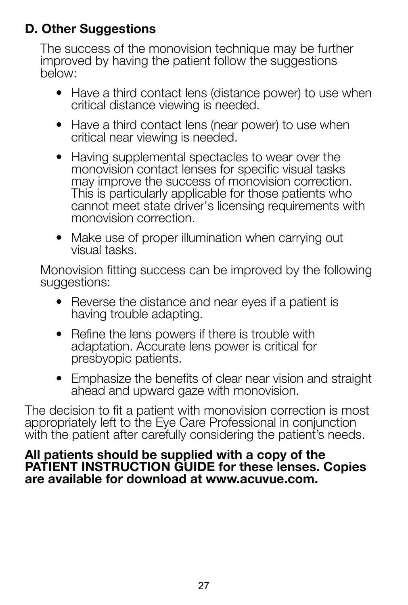### **D. Other Suggestions**

The success of the monovision technique may be further improved by having the patient follow the suggestions below:

- Have a third contact lens (distance power) to use when critical distance viewing is needed.
- Have a third contact lens (near power) to use when critical near viewing is needed.
- Having supplemental spectacles to wear over the monovision contact lenses for specific visual tasks may improve the success of monovision correction. This is particularly applicable for those patients who cannot meet state driver's licensing requirements with monovision correction.
- Make use of proper illumination when carrying out visual tasks.

Monovision fitting success can be improved by the following suggestions:

- Reverse the distance and near eyes if a patient is having trouble adapting.
- Refine the lens powers if there is trouble with adaptation. Accurate lens power is critical for presbyopic patients.
- Emphasize the benefits of clear near vision and straight ahead and upward gaze with monovision.

The decision to fit a patient with monovision correction is most appropriately left to the Eye Care Professional in conjunction with the patient after carefully considering the patient's needs.

### **All patients should be supplied with a copy of the PATIENT INSTRUCTION GUIDE for these lenses. Copies are available for download at www.acuvue.com.**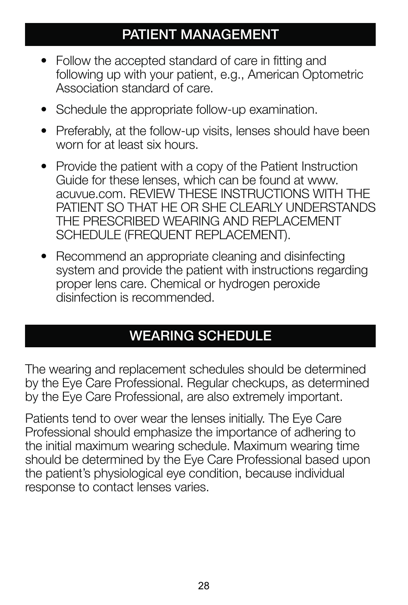### **PATIENT MANAGEMENT**

- Follow the accepted standard of care in fitting and following up with your patient, e.g., American Optometric Association standard of care.
- Schedule the appropriate follow-up examination.
- Preferably, at the follow-up visits, lenses should have been worn for at least six hours.
- Provide the patient with a copy of the Patient Instruction Guide for these lenses, which can be found at www. acuvue.com. REVIEW THESE INSTRUCTIONS WITH THE PATIENT SO THAT HE OR SHE CLEARLY UNDERSTANDS THE PRESCRIBED WEARING AND REPLACEMENT SCHEDULE (FREQUENT REPLACEMENT).
- Recommend an appropriate cleaning and disinfecting system and provide the patient with instructions regarding proper lens care. Chemical or hydrogen peroxide disinfection is recommended.

### **WEARING SCHEDULE**

The wearing and replacement schedules should be determined by the Eye Care Professional. Regular checkups, as determined by the Eye Care Professional, are also extremely important.

Patients tend to over wear the lenses initially. The Eye Care Professional should emphasize the importance of adhering to the initial maximum wearing schedule. Maximum wearing time should be determined by the Eye Care Professional based upon the patient's physiological eye condition, because individual response to contact lenses varies.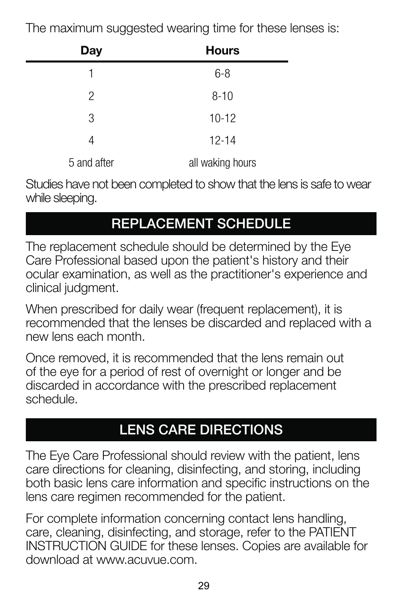The maximum suggested wearing time for these lenses is:

| Day         | <b>Hours</b>     |
|-------------|------------------|
| 1           | $6 - 8$          |
| 2           | $8 - 10$         |
| 3           | $10 - 12$        |
| 4           | $12 - 14$        |
| 5 and after | all waking hours |

Studies have not been completed to show that the lens is safe to wear while sleeping.

## **REPLACEMENT SCHEDULE**

The replacement schedule should be determined by the Eye Care Professional based upon the patient's history and their ocular examination, as well as the practitioner's experience and clinical judgment.

When prescribed for daily wear (frequent replacement), it is recommended that the lenses be discarded and replaced with a new lens each month.

Once removed, it is recommended that the lens remain out of the eye for a period of rest of overnight or longer and be discarded in accordance with the prescribed replacement schedule.

### **LENS CARE DIRECTIONS**

The Eye Care Professional should review with the patient, lens care directions for cleaning, disinfecting, and storing, including both basic lens care information and specific instructions on the lens care regimen recommended for the patient.

For complete information concerning contact lens handling, care, cleaning, disinfecting, and storage, refer to the PATIENT INSTRUCTION GUIDE for these lenses. Copies are available for download at www.acuvue.com.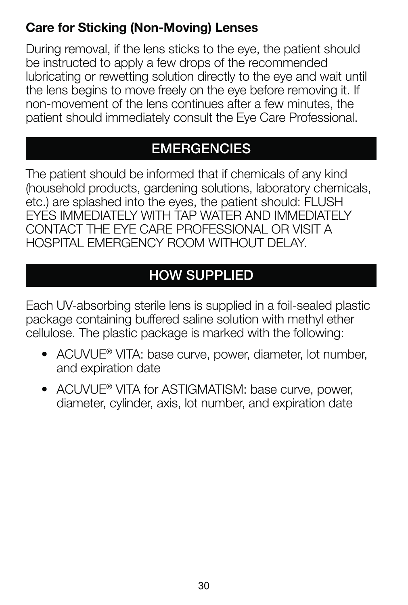### **Care for Sticking (Non-Moving) Lenses**

During removal, if the lens sticks to the eye, the patient should be instructed to apply a few drops of the recommended lubricating or rewetting solution directly to the eye and wait until the lens begins to move freely on the eye before removing it. If non-movement of the lens continues after a few minutes, the patient should immediately consult the Eye Care Professional.

### **EMERGENCIES**

The patient should be informed that if chemicals of any kind (household products, gardening solutions, laboratory chemicals, etc.) are splashed into the eyes, the patient should: FLUSH EYES IMMEDIATELY WITH TAP WATER AND IMMEDIATELY CONTACT THE EYE CARE PROFESSIONAL OR VISIT A HOSPITAL EMERGENCY ROOM WITHOUT DELAY.

## **HOW SUPPLIED**

Each UV-absorbing sterile lens is supplied in a foil-sealed plastic package containing buffered saline solution with methyl ether cellulose. The plastic package is marked with the following:

- ACUVUE® VITA: base curve, power, diameter, lot number, and expiration date
- ACUVUE<sup>®</sup> VITA for ASTIGMATISM: base curve, power, diameter, cylinder, axis, lot number, and expiration date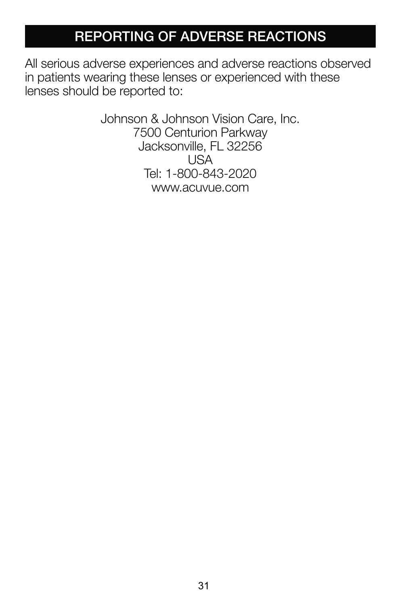### **REPORTING OF ADVERSE REACTIONS**

All serious adverse experiences and adverse reactions observed in patients wearing these lenses or experienced with these lenses should be reported to:

> Johnson & Johnson Vision Care, Inc. 7500 Centurion Parkway Jacksonville, FL 32256 USA Tel: 1-800-843-2020 www.acuvue.com